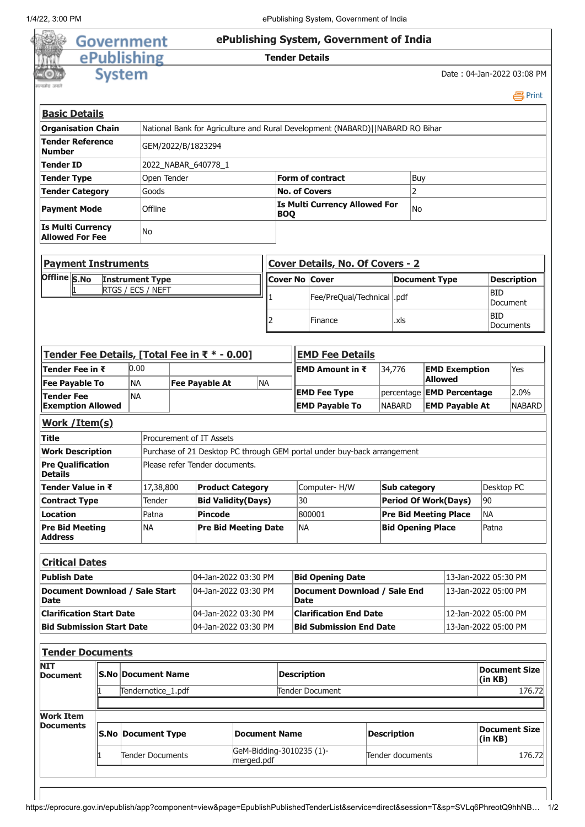|                                                                                                                                              | Government                                               |           |                                              |  |                                               |                      |                                |                         | ePublishing System, Government of India                                       |                             |                      |                          |                                  |                      |                      |
|----------------------------------------------------------------------------------------------------------------------------------------------|----------------------------------------------------------|-----------|----------------------------------------------|--|-----------------------------------------------|----------------------|--------------------------------|-------------------------|-------------------------------------------------------------------------------|-----------------------------|----------------------|--------------------------|----------------------------------|----------------------|----------------------|
|                                                                                                                                              |                                                          |           |                                              |  |                                               |                      |                                |                         |                                                                               |                             |                      |                          |                                  |                      |                      |
|                                                                                                                                              | ePublishing                                              |           |                                              |  |                                               |                      | <b>Tender Details</b>          |                         |                                                                               |                             |                      |                          |                                  |                      |                      |
|                                                                                                                                              | <b>System</b>                                            |           |                                              |  |                                               |                      |                                |                         |                                                                               |                             |                      |                          | Date: 04-Jan-2022 03:08 PM       |                      |                      |
| <b>Basic Details</b>                                                                                                                         |                                                          |           |                                              |  |                                               |                      |                                |                         |                                                                               |                             |                      |                          |                                  |                      | 昌Print               |
| <b>Organisation Chain</b>                                                                                                                    |                                                          |           |                                              |  |                                               |                      |                                |                         | National Bank for Agriculture and Rural Development (NABARD)  NABARD RO Bihar |                             |                      |                          |                                  |                      |                      |
| Tender Reference<br><b>Number</b>                                                                                                            |                                                          |           |                                              |  | GEM/2022/B/1823294                            |                      |                                |                         |                                                                               |                             |                      |                          |                                  |                      |                      |
| <b>Tender ID</b>                                                                                                                             |                                                          |           |                                              |  | 2022_NABAR_640778_1                           |                      |                                |                         |                                                                               |                             |                      |                          |                                  |                      |                      |
| Open Tender<br><b>Tender Type</b>                                                                                                            |                                                          |           |                                              |  | <b>Form of contract</b>                       |                      |                                | Buy                     |                                                                               |                             |                      |                          |                                  |                      |                      |
| <b>Tender Category</b>                                                                                                                       |                                                          |           | Goods                                        |  |                                               |                      |                                |                         | <b>No. of Covers</b>                                                          |                             | $\overline{2}$       |                          |                                  |                      |                      |
| <b>Payment Mode</b>                                                                                                                          |                                                          |           | Offline                                      |  |                                               |                      | <b>BOQ</b>                     |                         | Is Multi Currency Allowed For                                                 |                             | No                   |                          |                                  |                      |                      |
| <b>Is Multi Currency</b><br><b>Allowed For Fee</b>                                                                                           |                                                          |           | No                                           |  |                                               |                      |                                |                         |                                                                               |                             |                      |                          |                                  |                      |                      |
| <b>Payment Instruments</b>                                                                                                                   |                                                          |           |                                              |  |                                               |                      |                                |                         | <b>Cover Details, No. Of Covers - 2</b>                                       |                             |                      |                          |                                  |                      |                      |
| Offline S.No                                                                                                                                 |                                                          |           | <b>Instrument Type</b>                       |  |                                               |                      |                                |                         | <b>Cover No Cover</b>                                                         |                             |                      | <b>Document Type</b>     |                                  |                      | <b>Description</b>   |
|                                                                                                                                              |                                                          |           | RTGS / ECS / NEFT                            |  |                                               |                      |                                |                         | Fee/PreQual/Technical   .pdf                                                  |                             |                      |                          |                                  | <b>BID</b>           | Document             |
|                                                                                                                                              |                                                          |           |                                              |  |                                               |                      | 2                              |                         | Finance                                                                       |                             | .xls                 |                          |                                  | <b>BID</b>           | Documents            |
|                                                                                                                                              |                                                          |           |                                              |  |                                               |                      |                                |                         |                                                                               |                             |                      |                          |                                  |                      |                      |
|                                                                                                                                              |                                                          | 0.00      |                                              |  | Tender Fee Details, [Total Fee in ₹ * - 0.00] |                      |                                |                         | <b>EMD Fee Details</b>                                                        |                             |                      |                          |                                  |                      |                      |
| Tender Fee in ₹<br><b>Fee Payable To</b>                                                                                                     |                                                          | <b>NA</b> |                                              |  |                                               | NA                   |                                |                         | EMD Amount in ₹                                                               |                             | 34,776               | <b>Allowed</b>           | <b>EMD Exemption</b>             |                      | Yes                  |
| <b>Tender Fee</b>                                                                                                                            |                                                          | <b>NA</b> |                                              |  | <b>Fee Payable At</b>                         |                      |                                |                         | <b>EMD Fee Type</b>                                                           |                             |                      |                          | percentage <b>EMD Percentage</b> |                      | 2.0%                 |
| <b>Exemption Allowed</b>                                                                                                                     |                                                          |           |                                              |  |                                               |                      |                                |                         | <b>EMD Payable To</b>                                                         |                             | <b>NABARD</b>        |                          | <b>EMD Payable At</b>            |                      | <b>NABARD</b>        |
| Work / Item(s)                                                                                                                               |                                                          |           |                                              |  |                                               |                      |                                |                         |                                                                               |                             |                      |                          |                                  |                      |                      |
| <b>Title</b>                                                                                                                                 |                                                          |           |                                              |  | Procurement of IT Assets                      |                      |                                |                         |                                                                               |                             |                      |                          |                                  |                      |                      |
| <b>Work Description</b>                                                                                                                      |                                                          |           |                                              |  |                                               |                      |                                |                         | Purchase of 21 Desktop PC through GEM portal under buy-back arrangement       |                             |                      |                          |                                  |                      |                      |
| <b>Pre Qualification</b><br><b>Details</b>                                                                                                   |                                                          |           |                                              |  | Please refer Tender documents.                |                      |                                |                         |                                                                               |                             |                      |                          |                                  |                      |                      |
| Tender Value in ₹                                                                                                                            |                                                          |           | 17,38,800                                    |  | <b>Product Category</b>                       |                      |                                |                         | Computer-H/W                                                                  |                             | <b>Sub category</b>  |                          |                                  | Desktop PC           |                      |
| <b>Contract Type</b>                                                                                                                         |                                                          |           | Tender                                       |  | <b>Bid Validity(Days)</b>                     |                      | 30                             |                         |                                                                               | <b>Period Of Work(Days)</b> |                      |                          | 90                               |                      |                      |
| <b>Location</b>                                                                                                                              |                                                          |           | Patna                                        |  | <b>Pincode</b>                                |                      |                                | 800001                  | <b>Pre Bid Meeting Place</b>                                                  |                             |                      | <b>NA</b>                |                                  |                      |                      |
| <b>Pre Bid Meeting</b><br><b>Address</b>                                                                                                     |                                                          |           | <b>NA</b>                                    |  | <b>Pre Bid Meeting Date</b>                   |                      |                                | <b>NA</b>               |                                                                               |                             |                      | <b>Bid Opening Place</b> |                                  | Patna                |                      |
| <b>Critical Dates</b>                                                                                                                        |                                                          |           |                                              |  |                                               |                      |                                |                         |                                                                               |                             |                      |                          |                                  |                      |                      |
| <b>Publish Date</b>                                                                                                                          |                                                          |           |                                              |  | 04-Jan-2022 03:30 PM                          |                      |                                | <b>Bid Opening Date</b> |                                                                               |                             | 13-Jan-2022 05:30 PM |                          |                                  |                      |                      |
|                                                                                                                                              |                                                          |           |                                              |  | 04-Jan-2022 03:30 PM                          |                      |                                | <b>Date</b>             | <b>Document Download / Sale End</b>                                           |                             |                      |                          | 13-Jan-2022 05:00 PM             |                      |                      |
|                                                                                                                                              |                                                          |           |                                              |  | 04-Jan-2022 03:30 PM                          |                      |                                |                         | <b>Clarification End Date</b>                                                 |                             |                      |                          | 12-Jan-2022 05:00 PM             |                      |                      |
|                                                                                                                                              | 04-Jan-2022 03:30 PM<br><b>Bid Submission Start Date</b> |           |                                              |  |                                               |                      | <b>Bid Submission End Date</b> |                         |                                                                               | 13-Jan-2022 05:00 PM        |                      |                          |                                  |                      |                      |
|                                                                                                                                              |                                                          |           |                                              |  |                                               |                      |                                |                         |                                                                               |                             |                      |                          |                                  |                      |                      |
|                                                                                                                                              |                                                          |           | NIT<br><b>S.No Document Name</b><br>Document |  |                                               |                      |                                |                         |                                                                               |                             |                      |                          |                                  | <b>Document Size</b> |                      |
|                                                                                                                                              |                                                          |           |                                              |  |                                               |                      |                                | <b>Description</b>      |                                                                               |                             |                      |                          |                                  | (in KB)              |                      |
|                                                                                                                                              |                                                          |           | Tendernotice_1.pdf                           |  |                                               |                      |                                |                         | Tender Document                                                               |                             |                      |                          |                                  |                      | 176.72               |
|                                                                                                                                              |                                                          |           |                                              |  |                                               |                      |                                |                         |                                                                               |                             |                      |                          |                                  |                      |                      |
| Document Download / Sale Start<br><b>Date</b><br><b>Clarification Start Date</b><br><b>Tender Documents</b><br><b>Work Item</b><br>Documents |                                                          |           | <b>S.No Document Type</b>                    |  |                                               | <b>Document Name</b> |                                |                         |                                                                               | <b>Description</b>          |                      |                          |                                  | (in KB)              | <b>Document Size</b> |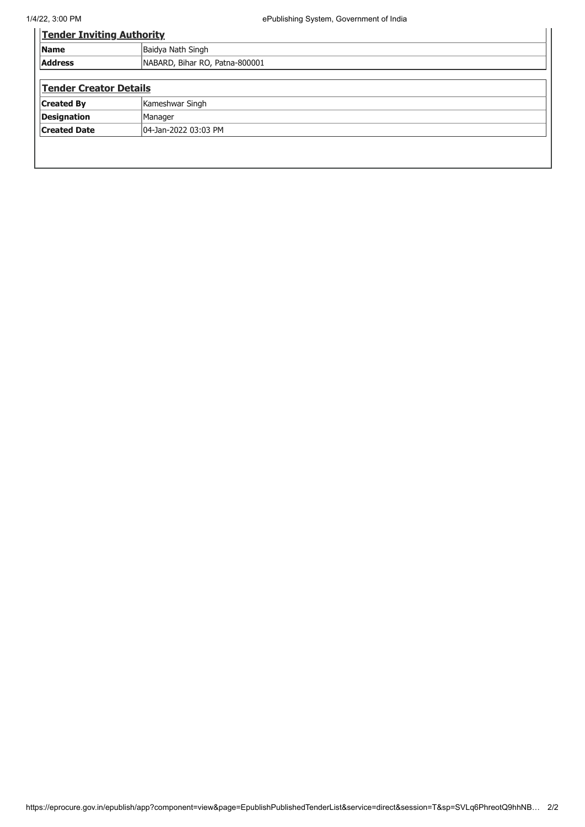| <b>Tender Inviting Authority</b>                 |  |  |  |  |  |
|--------------------------------------------------|--|--|--|--|--|
| Baidya Nath Singh<br><b>Name</b>                 |  |  |  |  |  |
| <b>Address</b><br>NABARD, Bihar RO, Patna-800001 |  |  |  |  |  |
| <b>Tender Creator Details</b>                    |  |  |  |  |  |
| Kameshwar Singh<br><b>Created By</b>             |  |  |  |  |  |
| Designation<br>Manager                           |  |  |  |  |  |
| <b>Created Date</b><br>04-Jan-2022 03:03 PM      |  |  |  |  |  |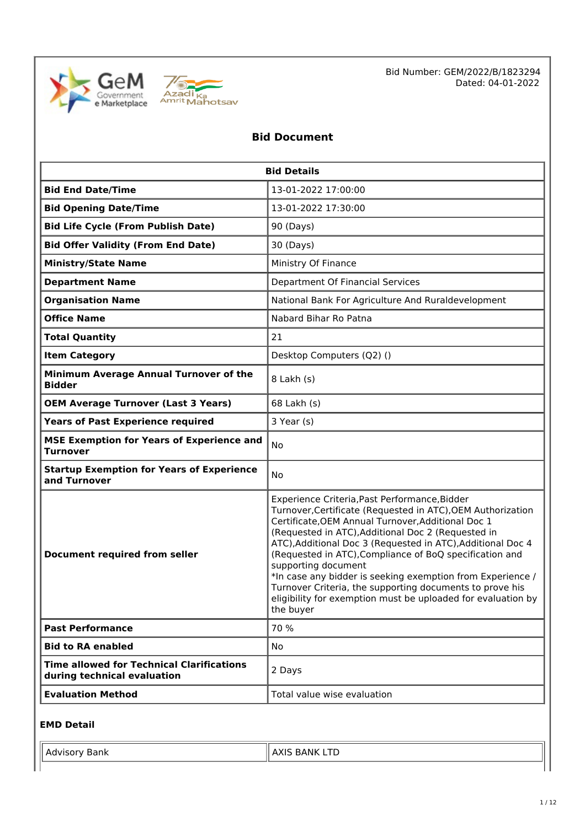



Bid Number: GEM/2022/B/1823294 Dated: 04-01-2022

# **Bid Document**

|                                                                                 | <b>Bid Details</b>                                                                                                                                                                                                                                                                                                                                                                                                                                                                                                                                                               |  |  |
|---------------------------------------------------------------------------------|----------------------------------------------------------------------------------------------------------------------------------------------------------------------------------------------------------------------------------------------------------------------------------------------------------------------------------------------------------------------------------------------------------------------------------------------------------------------------------------------------------------------------------------------------------------------------------|--|--|
| <b>Bid End Date/Time</b>                                                        | 13-01-2022 17:00:00                                                                                                                                                                                                                                                                                                                                                                                                                                                                                                                                                              |  |  |
| <b>Bid Opening Date/Time</b>                                                    | 13-01-2022 17:30:00                                                                                                                                                                                                                                                                                                                                                                                                                                                                                                                                                              |  |  |
| <b>Bid Life Cycle (From Publish Date)</b>                                       | 90 (Days)                                                                                                                                                                                                                                                                                                                                                                                                                                                                                                                                                                        |  |  |
| <b>Bid Offer Validity (From End Date)</b>                                       | 30 (Days)                                                                                                                                                                                                                                                                                                                                                                                                                                                                                                                                                                        |  |  |
| <b>Ministry/State Name</b>                                                      | Ministry Of Finance                                                                                                                                                                                                                                                                                                                                                                                                                                                                                                                                                              |  |  |
| <b>Department Name</b>                                                          | Department Of Financial Services                                                                                                                                                                                                                                                                                                                                                                                                                                                                                                                                                 |  |  |
| <b>Organisation Name</b>                                                        | National Bank For Agriculture And Ruraldevelopment                                                                                                                                                                                                                                                                                                                                                                                                                                                                                                                               |  |  |
| <b>Office Name</b>                                                              | Nabard Bihar Ro Patna                                                                                                                                                                                                                                                                                                                                                                                                                                                                                                                                                            |  |  |
| <b>Total Quantity</b>                                                           | 21                                                                                                                                                                                                                                                                                                                                                                                                                                                                                                                                                                               |  |  |
| <b>Item Category</b>                                                            | Desktop Computers (Q2) ()                                                                                                                                                                                                                                                                                                                                                                                                                                                                                                                                                        |  |  |
| Minimum Average Annual Turnover of the<br><b>Bidder</b>                         | 8 Lakh (s)                                                                                                                                                                                                                                                                                                                                                                                                                                                                                                                                                                       |  |  |
| <b>OEM Average Turnover (Last 3 Years)</b>                                      | 68 Lakh (s)                                                                                                                                                                                                                                                                                                                                                                                                                                                                                                                                                                      |  |  |
| <b>Years of Past Experience required</b>                                        | 3 Year (s)                                                                                                                                                                                                                                                                                                                                                                                                                                                                                                                                                                       |  |  |
| <b>MSE Exemption for Years of Experience and</b><br><b>Turnover</b>             | No                                                                                                                                                                                                                                                                                                                                                                                                                                                                                                                                                                               |  |  |
| <b>Startup Exemption for Years of Experience</b><br>and Turnover                | No                                                                                                                                                                                                                                                                                                                                                                                                                                                                                                                                                                               |  |  |
| <b>Document required from seller</b>                                            | Experience Criteria, Past Performance, Bidder<br>Turnover, Certificate (Requested in ATC), OEM Authorization<br>Certificate, OEM Annual Turnover, Additional Doc 1<br>(Requested in ATC), Additional Doc 2 (Requested in<br>ATC), Additional Doc 3 (Requested in ATC), Additional Doc 4<br>(Requested in ATC), Compliance of BoQ specification and<br>supporting document<br>*In case any bidder is seeking exemption from Experience /<br>Turnover Criteria, the supporting documents to prove his<br>eligibility for exemption must be uploaded for evaluation by<br>the buyer |  |  |
| <b>Past Performance</b>                                                         | 70 %                                                                                                                                                                                                                                                                                                                                                                                                                                                                                                                                                                             |  |  |
| <b>Bid to RA enabled</b>                                                        | No                                                                                                                                                                                                                                                                                                                                                                                                                                                                                                                                                                               |  |  |
| <b>Time allowed for Technical Clarifications</b><br>during technical evaluation | 2 Days                                                                                                                                                                                                                                                                                                                                                                                                                                                                                                                                                                           |  |  |
| <b>Evaluation Method</b>                                                        | Total value wise evaluation                                                                                                                                                                                                                                                                                                                                                                                                                                                                                                                                                      |  |  |

#### **EMD Detail**

| Bank<br>  Advisory | ' AXIS BANK LTD |
|--------------------|-----------------|
|                    |                 |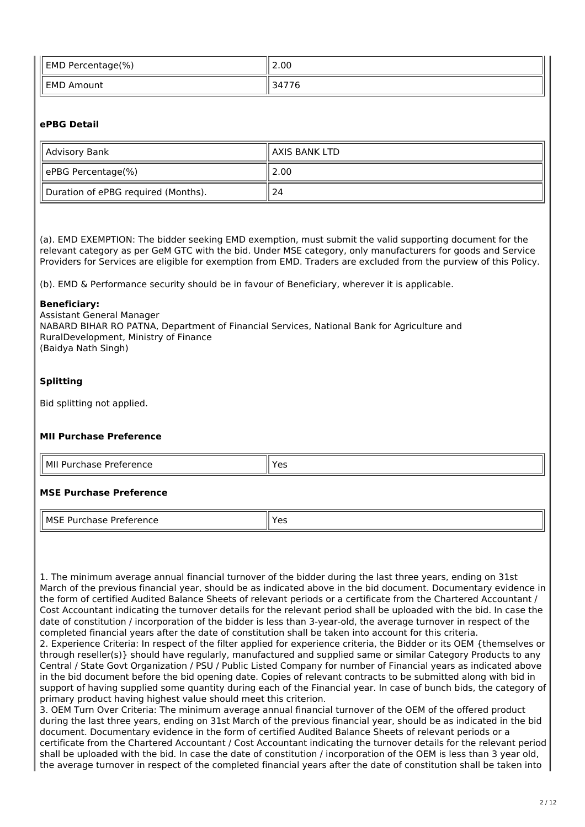| <b>EMD Percentage(%)</b> | 2.00              |  |  |
|--------------------------|-------------------|--|--|
| <b>EMD Amount</b>        | $\cdot$ 776<br>34 |  |  |

#### **ePBG Detail**

| Advisory Bank                       | AXIS BANK LTD |
|-------------------------------------|---------------|
| ePBG Percentage(%)                  | 2.00          |
| Duration of ePBG required (Months). | 24            |

(a). EMD EXEMPTION: The bidder seeking EMD exemption, must submit the valid supporting document for the relevant category as per GeM GTC with the bid. Under MSE category, only manufacturers for goods and Service Providers for Services are eligible for exemption from EMD. Traders are excluded from the purview of this Policy.

(b). EMD & Performance security should be in favour of Beneficiary, wherever it is applicable.

#### **Beneficiary:**

Assistant General Manager NABARD BIHAR RO PATNA, Department of Financial Services, National Bank for Agriculture and RuralDevelopment, Ministry of Finance (Baidya Nath Singh)

#### **Splitting**

Bid splitting not applied.

#### **MII Purchase Preference**

| MI<br>Preference<br>$\sim$<br>∵ Purc.<br>nase<br>____ | $V \cap V$<br>~-<br>-- |
|-------------------------------------------------------|------------------------|
|                                                       |                        |

#### **MSE Purchase Preference**

| ⊥ MS′<br>m<br>- 10<br>. | $\sim$<br>-<br>ີ<br>$ -$ |
|-------------------------|--------------------------|

1. The minimum average annual financial turnover of the bidder during the last three years, ending on 31st March of the previous financial year, should be as indicated above in the bid document. Documentary evidence in the form of certified Audited Balance Sheets of relevant periods or a certificate from the Chartered Accountant / Cost Accountant indicating the turnover details for the relevant period shall be uploaded with the bid. In case the date of constitution / incorporation of the bidder is less than 3-year-old, the average turnover in respect of the completed financial years after the date of constitution shall be taken into account for this criteria. 2. Experience Criteria: In respect of the filter applied for experience criteria, the Bidder or its OEM {themselves or through reseller(s)} should have regularly, manufactured and supplied same or similar Category Products to any Central / State Govt Organization / PSU / Public Listed Company for number of Financial years as indicated above in the bid document before the bid opening date. Copies of relevant contracts to be submitted along with bid in support of having supplied some quantity during each of the Financial year. In case of bunch bids, the category of primary product having highest value should meet this criterion.

3. OEM Turn Over Criteria: The minimum average annual financial turnover of the OEM of the offered product during the last three years, ending on 31st March of the previous financial year, should be as indicated in the bid document. Documentary evidence in the form of certified Audited Balance Sheets of relevant periods or a certificate from the Chartered Accountant / Cost Accountant indicating the turnover details for the relevant period shall be uploaded with the bid. In case the date of constitution / incorporation of the OEM is less than 3 year old, the average turnover in respect of the completed financial years after the date of constitution shall be taken into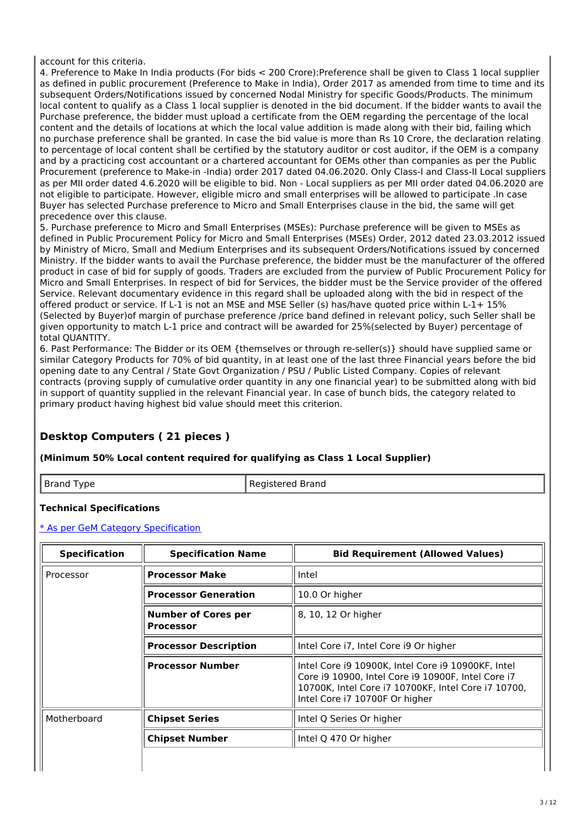account for this criteria.

4. Preference to Make In India products (For bids < 200 Crore):Preference shall be given to Class 1 local supplier as defined in public procurement (Preference to Make in India), Order 2017 as amended from time to time and its subsequent Orders/Notifications issued by concerned Nodal Ministry for specific Goods/Products. The minimum local content to qualify as a Class 1 local supplier is denoted in the bid document. If the bidder wants to avail the Purchase preference, the bidder must upload a certificate from the OEM regarding the percentage of the local content and the details of locations at which the local value addition is made along with their bid, failing which no purchase preference shall be granted. In case the bid value is more than Rs 10 Crore, the declaration relating to percentage of local content shall be certified by the statutory auditor or cost auditor, if the OEM is a company and by a practicing cost accountant or a chartered accountant for OEMs other than companies as per the Public Procurement (preference to Make-in -India) order 2017 dated 04.06.2020. Only Class-I and Class-II Local suppliers as per MII order dated 4.6.2020 will be eligible to bid. Non - Local suppliers as per MII order dated 04.06.2020 are not eligible to participate. However, eligible micro and small enterprises will be allowed to participate .In case Buyer has selected Purchase preference to Micro and Small Enterprises clause in the bid, the same will get precedence over this clause.

5. Purchase preference to Micro and Small Enterprises (MSEs): Purchase preference will be given to MSEs as defined in Public Procurement Policy for Micro and Small Enterprises (MSEs) Order, 2012 dated 23.03.2012 issued by Ministry of Micro, Small and Medium Enterprises and its subsequent Orders/Notifications issued by concerned Ministry. If the bidder wants to avail the Purchase preference, the bidder must be the manufacturer of the offered product in case of bid for supply of goods. Traders are excluded from the purview of Public Procurement Policy for Micro and Small Enterprises. In respect of bid for Services, the bidder must be the Service provider of the offered Service. Relevant documentary evidence in this regard shall be uploaded along with the bid in respect of the offered product or service. If L-1 is not an MSE and MSE Seller (s) has/have quoted price within L-1+ 15% (Selected by Buyer)of margin of purchase preference /price band defined in relevant policy, such Seller shall be given opportunity to match L-1 price and contract will be awarded for 25%(selected by Buyer) percentage of total QUANTITY.

6. Past Performance: The Bidder or its OEM {themselves or through re-seller(s)} should have supplied same or similar Category Products for 70% of bid quantity, in at least one of the last three Financial years before the bid opening date to any Central / State Govt Organization / PSU / Public Listed Company. Copies of relevant contracts (proving supply of cumulative order quantity in any one financial year) to be submitted along with bid in support of quantity supplied in the relevant Financial year. In case of bunch bids, the category related to primary product having highest bid value should meet this criterion.

# **Desktop Computers ( 21 pieces )**

#### **(Minimum 50% Local content required for qualifying as Class 1 Local Supplier)**

Brand Type Registered Brand

### **Technical Specifications**

\* As per GeM Category Specification

| <b>Specification</b> | <b>Specification Name</b>                      | <b>Bid Requirement (Allowed Values)</b>                                                                                                                                                           |
|----------------------|------------------------------------------------|---------------------------------------------------------------------------------------------------------------------------------------------------------------------------------------------------|
| Processor            | <b>Processor Make</b>                          | Intel                                                                                                                                                                                             |
|                      | <b>Processor Generation</b>                    | 10.0 Or higher                                                                                                                                                                                    |
|                      | <b>Number of Cores per</b><br><b>Processor</b> | 8, 10, 12 Or higher                                                                                                                                                                               |
|                      | <b>Processor Description</b>                   | Intel Core i7, Intel Core i9 Or higher                                                                                                                                                            |
|                      | <b>Processor Number</b>                        | Intel Core i9 10900K, Intel Core i9 10900KF, Intel<br>Core i9 10900, Intel Core i9 10900F, Intel Core i7<br>10700K, Intel Core i7 10700KF, Intel Core i7 10700,<br>Intel Core i7 10700F Or higher |
| Motherboard          | <b>Chipset Series</b>                          | Intel Q Series Or higher                                                                                                                                                                          |
|                      | <b>Chipset Number</b>                          | Intel Q 470 Or higher                                                                                                                                                                             |
|                      |                                                |                                                                                                                                                                                                   |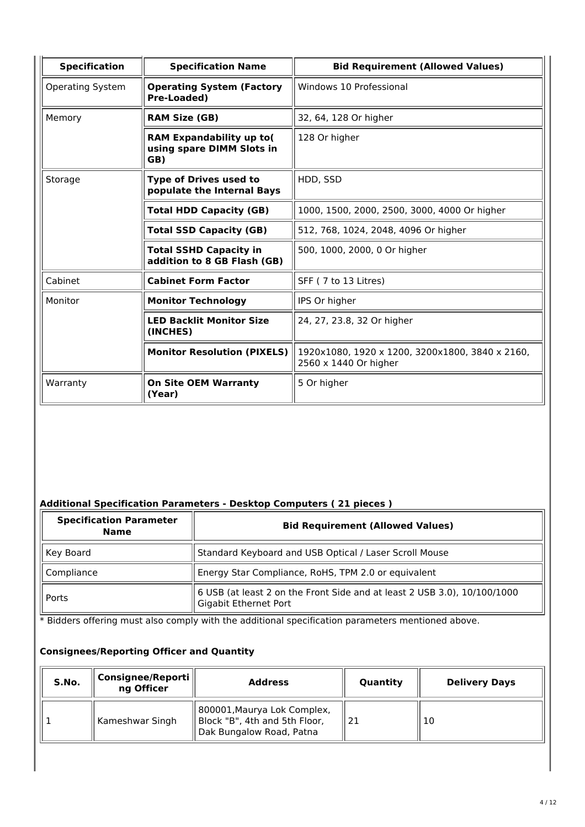| <b>Specification</b>                                                   | <b>Specification Name</b>                                           | <b>Bid Requirement (Allowed Values)</b>                                  |  |  |
|------------------------------------------------------------------------|---------------------------------------------------------------------|--------------------------------------------------------------------------|--|--|
| <b>Operating System</b>                                                | <b>Operating System (Factory</b><br><b>Pre-Loaded)</b>              | Windows 10 Professional                                                  |  |  |
| Memory<br><b>RAM Size (GB)</b>                                         |                                                                     | 32, 64, 128 Or higher                                                    |  |  |
|                                                                        | <b>RAM Expandability up to(</b><br>using spare DIMM Slots in<br>GB) | 128 Or higher                                                            |  |  |
| Storage<br><b>Type of Drives used to</b><br>populate the Internal Bays |                                                                     | HDD, SSD                                                                 |  |  |
|                                                                        | <b>Total HDD Capacity (GB)</b>                                      | 1000, 1500, 2000, 2500, 3000, 4000 Or higher                             |  |  |
|                                                                        | <b>Total SSD Capacity (GB)</b>                                      | 512, 768, 1024, 2048, 4096 Or higher                                     |  |  |
|                                                                        | <b>Total SSHD Capacity in</b><br>addition to 8 GB Flash (GB)        | 500, 1000, 2000, 0 Or higher                                             |  |  |
| Cabinet                                                                | <b>Cabinet Form Factor</b>                                          | SFF (7 to 13 Litres)                                                     |  |  |
| Monitor                                                                | <b>Monitor Technology</b>                                           | IPS Or higher                                                            |  |  |
|                                                                        | <b>LED Backlit Monitor Size</b><br>(INCHES)                         | 24, 27, 23.8, 32 Or higher                                               |  |  |
|                                                                        | <b>Monitor Resolution (PIXELS)</b>                                  | 1920x1080, 1920 x 1200, 3200x1800, 3840 x 2160,<br>2560 x 1440 Or higher |  |  |
| Warranty                                                               | <b>On Site OEM Warranty</b><br>(Year)                               | 5 Or higher                                                              |  |  |

# **Additional Specification Parameters - Desktop Computers ( 21 pieces )**

| <b>Specification Parameter</b><br><b>Name</b> | <b>Bid Requirement (Allowed Values)</b>                                                                   |  |
|-----------------------------------------------|-----------------------------------------------------------------------------------------------------------|--|
| Key Board                                     | Standard Keyboard and USB Optical / Laser Scroll Mouse                                                    |  |
| Compliance                                    | Energy Star Compliance, RoHS, TPM 2.0 or equivalent                                                       |  |
| Ports                                         | $\vert$ 6 USB (at least 2 on the Front Side and at least 2 USB 3.0), 10/100/1000<br>Gigabit Ethernet Port |  |

\* Bidders offering must also comply with the additional specification parameters mentioned above.

# **Consignees/Reporting Officer and Quantity**

| S.No. | Consignee/Reporti<br>ng Officer | <b>Address</b>                                                                           | Quantity | <b>Delivery Days</b> |
|-------|---------------------------------|------------------------------------------------------------------------------------------|----------|----------------------|
|       | Kameshwar Singh                 | 800001, Maurya Lok Complex,<br>Block "B", 4th and 5th Floor,<br>Dak Bungalow Road, Patna | -21      | 10                   |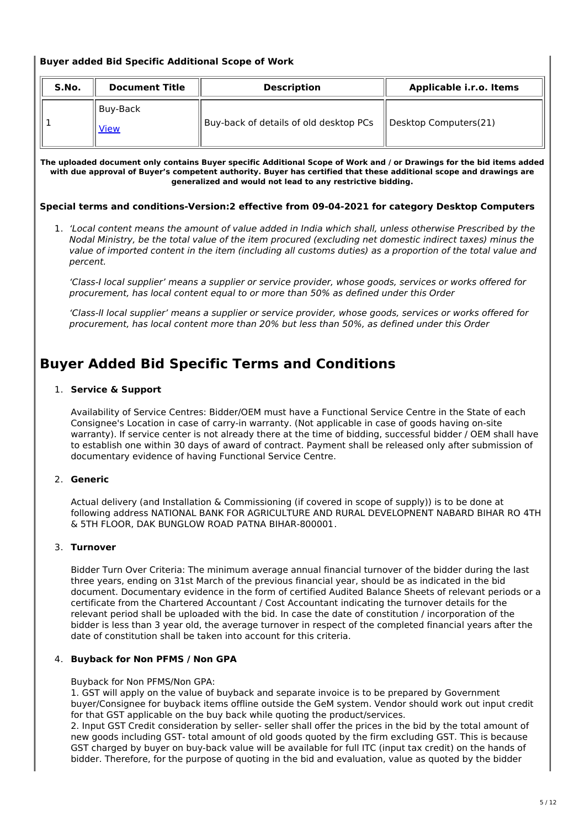#### **Buyer added Bid Specific Additional Scope of Work**

| S.No.<br><b>Document Title</b> |                           | <b>Description</b>                     | Applicable i.r.o. Items |  |
|--------------------------------|---------------------------|----------------------------------------|-------------------------|--|
|                                | l Buv-Back<br><b>View</b> | Buy-back of details of old desktop PCs | Desktop Computers(21)   |  |

The uploaded document only contains Buyer specific Additional Scope of Work and / or Drawings for the bid items added with due approval of Buyer's competent authority. Buyer has certified that these additional scope and drawings are **generalized and would not lead to any restrictive bidding.**

**Special terms and conditions-Version:2 effective from 09-04-2021 for category Desktop Computers**

1. 'Local content means the amount of value added in India which shall, unless otherwise Prescribed by the Nodal Ministry, be the total value of the item procured (excluding net domestic indirect taxes) minus the value of imported content in the item (including all customs duties) as a proportion of the total value and percent.

'Class-I local supplier' means a supplier or service provider, whose goods, services or works offered for procurement, has local content equal to or more than 50% as defined under this Order

'Class-lI local supplier' means a supplier or service provider, whose goods, services or works offered for procurement, has local content more than 20% but less than 50%, as defined under this Order

# **Buyer Added Bid Specific Terms and Conditions**

#### 1. **Service & Support**

Availability of Service Centres: Bidder/OEM must have a Functional Service Centre in the State of each Consignee's Location in case of carry-in warranty. (Not applicable in case of goods having on-site warranty). If service center is not already there at the time of bidding, successful bidder / OEM shall have to establish one within 30 days of award of contract. Payment shall be released only after submission of documentary evidence of having Functional Service Centre.

#### 2. **Generic**

Actual delivery (and Installation & Commissioning (if covered in scope of supply)) is to be done at following address NATIONAL BANK FOR AGRICULTURE AND RURAL DEVELOPNENT NABARD BIHAR RO 4TH & 5TH FLOOR, DAK BUNGLOW ROAD PATNA BIHAR-800001.

#### 3. **Turnover**

Bidder Turn Over Criteria: The minimum average annual financial turnover of the bidder during the last three years, ending on 31st March of the previous financial year, should be as indicated in the bid document. Documentary evidence in the form of certified Audited Balance Sheets of relevant periods or a certificate from the Chartered Accountant / Cost Accountant indicating the turnover details for the relevant period shall be uploaded with the bid. In case the date of constitution / incorporation of the bidder is less than 3 year old, the average turnover in respect of the completed financial years after the date of constitution shall be taken into account for this criteria.

#### 4. **Buyback for Non PFMS / Non GPA**

Buyback for Non PFMS/Non GPA:

1. GST will apply on the value of buyback and separate invoice is to be prepared by Government buyer/Consignee for buyback items offline outside the GeM system. Vendor should work out input credit for that GST applicable on the buy back while quoting the product/services.

2. Input GST Credit consideration by seller- seller shall offer the prices in the bid by the total amount of new goods including GST- total amount of old goods quoted by the firm excluding GST. This is because GST charged by buyer on buy-back value will be available for full ITC (input tax credit) on the hands of bidder. Therefore, for the purpose of quoting in the bid and evaluation, value as quoted by the bidder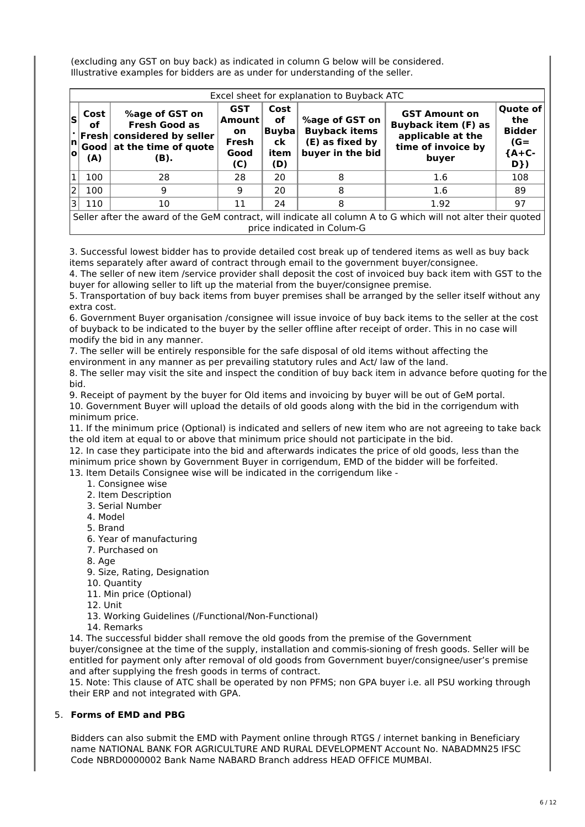(excluding any GST on buy back) as indicated in column G below will be considered. Illustrative examples for bidders are as under for understanding of the seller.

|                                                                                                                                             | Excel sheet for explanation to Buyback ATC   |                                                                                                |                                                    |                                             |                                                                               |                                                                                                        |                                                                     |  |  |
|---------------------------------------------------------------------------------------------------------------------------------------------|----------------------------------------------|------------------------------------------------------------------------------------------------|----------------------------------------------------|---------------------------------------------|-------------------------------------------------------------------------------|--------------------------------------------------------------------------------------------------------|---------------------------------------------------------------------|--|--|
| ls<br>$\left  \mathsf{n} \right $<br>۱o                                                                                                     | Cost<br>оf<br>$ $ Fresh $ $<br>Good l<br>(A) | %age of GST on<br><b>Fresh Good as</b><br>considered by seller<br>at the time of quote<br>(B). | <b>GST</b><br>Amount<br>on<br>Fresh<br>Good<br>(C) | Cost<br>of<br>$B$ uyba<br>ck<br>item<br>(D) | %age of GST on<br><b>Buyback items</b><br>(E) as fixed by<br>buyer in the bid | <b>GST Amount on</b><br><b>Buyback item (F) as</b><br>applicable at the<br>time of invoice by<br>buyer | <b>Quote of</b><br>the<br><b>Bidder</b><br>$(G =$<br>${A+C-$<br>D}) |  |  |
| $\overline{1}$                                                                                                                              | 100                                          | 28                                                                                             | 28                                                 | 20                                          | 8                                                                             | 1.6                                                                                                    | 108                                                                 |  |  |
| l2                                                                                                                                          | 100                                          | 9                                                                                              | 9                                                  | 20                                          | 8                                                                             | 1.6                                                                                                    | 89                                                                  |  |  |
| 3                                                                                                                                           | 110                                          | 10                                                                                             | 11                                                 | 24                                          | 8                                                                             | 1.92                                                                                                   | 97                                                                  |  |  |
| Seller after the award of the GeM contract, will indicate all column A to G which will not alter their quoted<br>price indicated in Colum-G |                                              |                                                                                                |                                                    |                                             |                                                                               |                                                                                                        |                                                                     |  |  |

3. Successful lowest bidder has to provide detailed cost break up of tendered items as well as buy back items separately after award of contract through email to the government buyer/consignee.

4. The seller of new item /service provider shall deposit the cost of invoiced buy back item with GST to the buyer for allowing seller to lift up the material from the buyer/consignee premise.

5. Transportation of buy back items from buyer premises shall be arranged by the seller itself without any extra cost.

6. Government Buyer organisation /consignee will issue invoice of buy back items to the seller at the cost of buyback to be indicated to the buyer by the seller offline after receipt of order. This in no case will modify the bid in any manner.

7. The seller will be entirely responsible for the safe disposal of old items without affecting the environment in any manner as per prevailing statutory rules and Act/ law of the land.

8. The seller may visit the site and inspect the condition of buy back item in advance before quoting for the bid.

9. Receipt of payment by the buyer for Old items and invoicing by buyer will be out of GeM portal. 10. Government Buyer will upload the details of old goods along with the bid in the corrigendum with minimum price.

11. If the minimum price (Optional) is indicated and sellers of new item who are not agreeing to take back the old item at equal to or above that minimum price should not participate in the bid.

12. In case they participate into the bid and afterwards indicates the price of old goods, less than the minimum price shown by Government Buyer in corrigendum, EMD of the bidder will be forfeited.

13. Item Details Consignee wise will be indicated in the corrigendum like -

- 1. Consignee wise
- 2. Item Description
- 3. Serial Number
- 4. Model
- 5. Brand
- 6. Year of manufacturing
- 7. Purchased on
- 8. Age

9. Size, Rating, Designation

- 10. Quantity
- 11. Min price (Optional)
- 12. Unit
- 13. Working Guidelines (/Functional/Non-Functional)
- 14. Remarks

14. The successful bidder shall remove the old goods from the premise of the Government

buyer/consignee at the time of the supply, installation and commis-sioning of fresh goods. Seller will be entitled for payment only after removal of old goods from Government buyer/consignee/user's premise and after supplying the fresh goods in terms of contract.

15. Note: This clause of ATC shall be operated by non PFMS; non GPA buyer i.e. all PSU working through their ERP and not integrated with GPA.

#### 5. **Forms of EMD and PBG**

Bidders can also submit the EMD with Payment online through RTGS / internet banking in Beneficiary name NATIONAL BANK FOR AGRICULTURE AND RURAL DEVELOPMENT Account No. NABADMN25 IFSC Code NBRD0000002 Bank Name NABARD Branch address HEAD OFFICE MUMBAI.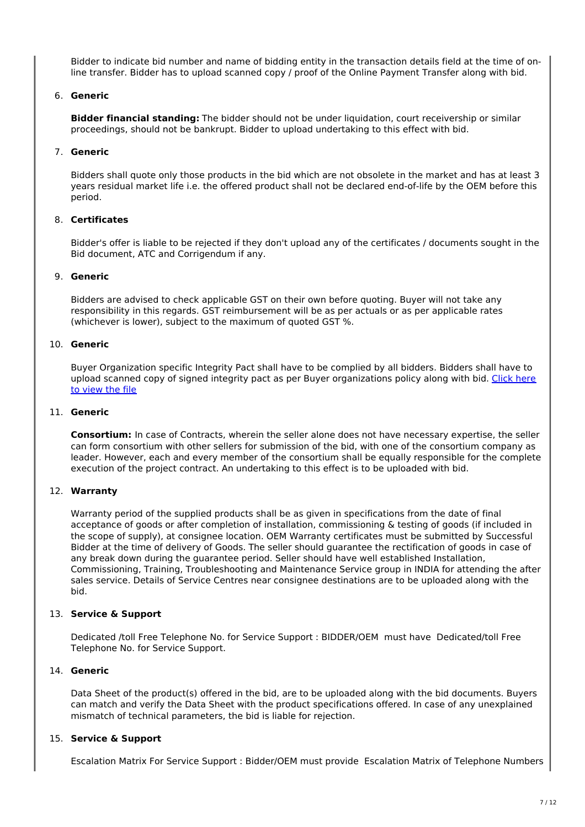Bidder to indicate bid number and name of bidding entity in the transaction details field at the time of online transfer. Bidder has to upload scanned copy / proof of the Online Payment Transfer along with bid.

#### 6. **Generic**

**Bidder financial standing:** The bidder should not be under liquidation, court receivership or similar proceedings, should not be bankrupt. Bidder to upload undertaking to this effect with bid.

#### 7. **Generic**

Bidders shall quote only those products in the bid which are not obsolete in the market and has at least 3 years residual market life i.e. the offered product shall not be declared end-of-life by the OEM before this period.

#### 8. **Certificates**

Bidder's offer is liable to be rejected if they don't upload any of the certificates / documents sought in the Bid document, ATC and Corrigendum if any.

#### 9. **Generic**

Bidders are advised to check applicable GST on their own before quoting. Buyer will not take any responsibility in this regards. GST reimbursement will be as per actuals or as per applicable rates (whichever is lower), subject to the maximum of quoted GST %.

#### 10. **Generic**

Buyer Organization specific Integrity Pact shall have to be complied by all bidders. Bidders shall have to upload scanned copy of signed integrity pact as per Buyer organizations policy along with bid. Click here to view the file

#### 11. **Generic**

**Consortium:** In case of Contracts, wherein the seller alone does not have necessary expertise, the seller can form consortium with other sellers for submission of the bid, with one of the consortium company as leader. However, each and every member of the consortium shall be equally responsible for the complete execution of the project contract. An undertaking to this effect is to be uploaded with bid.

#### 12. **Warranty**

Warranty period of the supplied products shall be as given in specifications from the date of final acceptance of goods or after completion of installation, commissioning & testing of goods (if included in the scope of supply), at consignee location. OEM Warranty certificates must be submitted by Successful Bidder at the time of delivery of Goods. The seller should guarantee the rectification of goods in case of any break down during the guarantee period. Seller should have well established Installation, Commissioning, Training, Troubleshooting and Maintenance Service group in INDIA for attending the after sales service. Details of Service Centres near consignee destinations are to be uploaded along with the bid.

#### 13. **Service & Support**

Dedicated /toll Free Telephone No. for Service Support : BIDDER/OEM must have Dedicated/toll Free Telephone No. for Service Support.

#### 14. **Generic**

Data Sheet of the product(s) offered in the bid, are to be uploaded along with the bid documents. Buyers can match and verify the Data Sheet with the product specifications offered. In case of any unexplained mismatch of technical parameters, the bid is liable for rejection.

#### 15. **Service & Support**

Escalation Matrix For Service Support : Bidder/OEM must provide Escalation Matrix of Telephone Numbers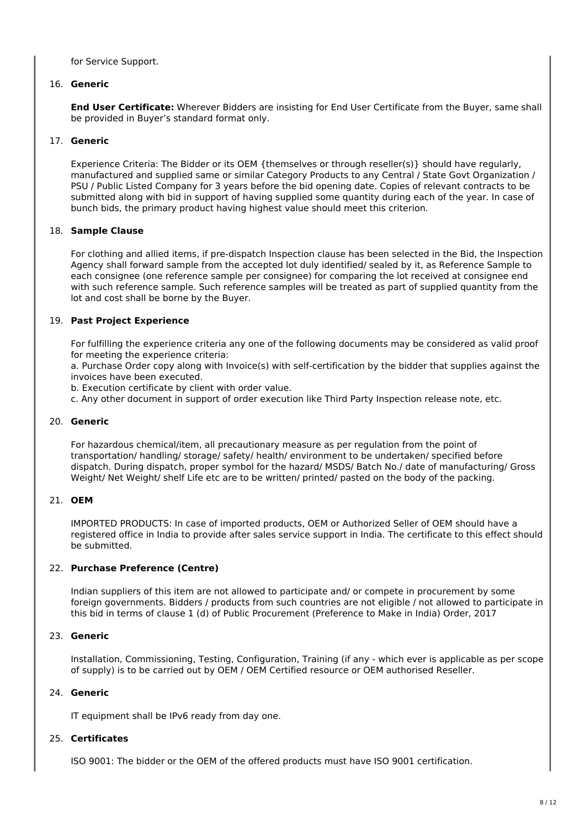for Service Support.

#### 16. **Generic**

**End User Certificate:** Wherever Bidders are insisting for End User Certificate from the Buyer, same shall be provided in Buyer's standard format only.

#### 17. **Generic**

Experience Criteria: The Bidder or its OEM {themselves or through reseller(s)} should have regularly, manufactured and supplied same or similar Category Products to any Central / State Govt Organization / PSU / Public Listed Company for 3 years before the bid opening date. Copies of relevant contracts to be submitted along with bid in support of having supplied some quantity during each of the year. In case of bunch bids, the primary product having highest value should meet this criterion.

#### 18. **Sample Clause**

For clothing and allied items, if pre-dispatch Inspection clause has been selected in the Bid, the Inspection Agency shall forward sample from the accepted lot duly identified/ sealed by it, as Reference Sample to each consignee (one reference sample per consignee) for comparing the lot received at consignee end with such reference sample. Such reference samples will be treated as part of supplied quantity from the lot and cost shall be borne by the Buyer.

#### 19. **Past Project Experience**

For fulfilling the experience criteria any one of the following documents may be considered as valid proof for meeting the experience criteria:

a. Purchase Order copy along with Invoice(s) with self-certification by the bidder that supplies against the invoices have been executed.

b. Execution certificate by client with order value.

c. Any other document in support of order execution like Third Party Inspection release note, etc.

#### 20. **Generic**

For hazardous chemical/item, all precautionary measure as per regulation from the point of transportation/ handling/ storage/ safety/ health/ environment to be undertaken/ specified before dispatch. During dispatch, proper symbol for the hazard/ MSDS/ Batch No./ date of manufacturing/ Gross Weight/ Net Weight/ shelf Life etc are to be written/ printed/ pasted on the body of the packing.

#### 21. **OEM**

IMPORTED PRODUCTS: In case of imported products, OEM or Authorized Seller of OEM should have a registered office in India to provide after sales service support in India. The certificate to this effect should be submitted.

#### 22. **Purchase Preference (Centre)**

Indian suppliers of this item are not allowed to participate and/ or compete in procurement by some foreign governments. Bidders / products from such countries are not eligible / not allowed to participate in this bid in terms of clause 1 (d) of Public Procurement (Preference to Make in India) Order, 2017

#### 23. **Generic**

Installation, Commissioning, Testing, Configuration, Training (if any - which ever is applicable as per scope of supply) is to be carried out by OEM / OEM Certified resource or OEM authorised Reseller.

#### 24. **Generic**

IT equipment shall be IPv6 ready from day one.

#### 25. **Certificates**

ISO 9001: The bidder or the OEM of the offered products must have ISO 9001 certification.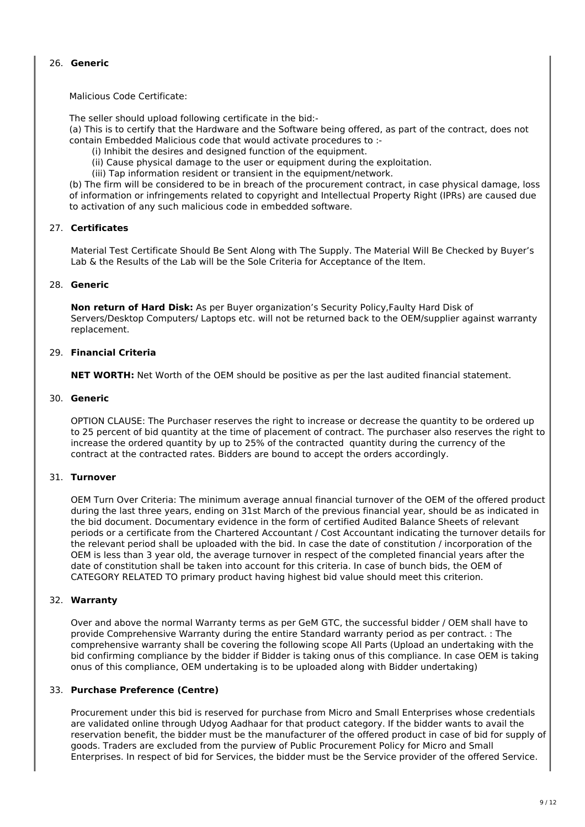#### 26. **Generic**

Malicious Code Certificate:

The seller should upload following certificate in the bid:-

(a) This is to certify that the Hardware and the Software being offered, as part of the contract, does not contain Embedded Malicious code that would activate procedures to :-

- (i) Inhibit the desires and designed function of the equipment.
- (ii) Cause physical damage to the user or equipment during the exploitation.
- (iii) Tap information resident or transient in the equipment/network.

(b) The firm will be considered to be in breach of the procurement contract, in case physical damage, loss of information or infringements related to copyright and Intellectual Property Right (IPRs) are caused due to activation of any such malicious code in embedded software.

#### 27. **Certificates**

Material Test Certificate Should Be Sent Along with The Supply. The Material Will Be Checked by Buyer's Lab & the Results of the Lab will be the Sole Criteria for Acceptance of the Item.

#### 28. **Generic**

**Non return of Hard Disk:** As per Buyer organization's Security Policy,Faulty Hard Disk of Servers/Desktop Computers/ Laptops etc. will not be returned back to the OEM/supplier against warranty replacement.

#### 29. **Financial Criteria**

**NET WORTH:** Net Worth of the OEM should be positive as per the last audited financial statement.

#### 30. **Generic**

OPTION CLAUSE: The Purchaser reserves the right to increase or decrease the quantity to be ordered up to 25 percent of bid quantity at the time of placement of contract. The purchaser also reserves the right to increase the ordered quantity by up to 25% of the contracted quantity during the currency of the contract at the contracted rates. Bidders are bound to accept the orders accordingly.

#### 31. **Turnover**

OEM Turn Over Criteria: The minimum average annual financial turnover of the OEM of the offered product during the last three years, ending on 31st March of the previous financial year, should be as indicated in the bid document. Documentary evidence in the form of certified Audited Balance Sheets of relevant periods or a certificate from the Chartered Accountant / Cost Accountant indicating the turnover details for the relevant period shall be uploaded with the bid. In case the date of constitution / incorporation of the OEM is less than 3 year old, the average turnover in respect of the completed financial years after the date of constitution shall be taken into account for this criteria. In case of bunch bids, the OEM of CATEGORY RELATED TO primary product having highest bid value should meet this criterion.

#### 32. **Warranty**

Over and above the normal Warranty terms as per GeM GTC, the successful bidder / OEM shall have to provide Comprehensive Warranty during the entire Standard warranty period as per contract. : The comprehensive warranty shall be covering the following scope All Parts (Upload an undertaking with the bid confirming compliance by the bidder if Bidder is taking onus of this compliance. In case OEM is taking onus of this compliance, OEM undertaking is to be uploaded along with Bidder undertaking)

#### 33. **Purchase Preference (Centre)**

Procurement under this bid is reserved for purchase from Micro and Small Enterprises whose credentials are validated online through Udyog Aadhaar for that product category. If the bidder wants to avail the reservation benefit, the bidder must be the manufacturer of the offered product in case of bid for supply of goods. Traders are excluded from the purview of Public Procurement Policy for Micro and Small Enterprises. In respect of bid for Services, the bidder must be the Service provider of the offered Service.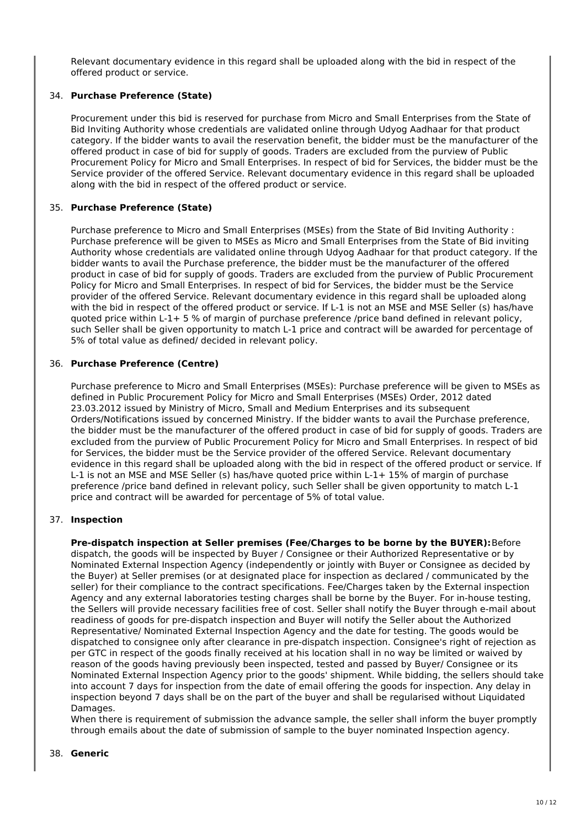Relevant documentary evidence in this regard shall be uploaded along with the bid in respect of the offered product or service.

#### 34. **Purchase Preference (State)**

Procurement under this bid is reserved for purchase from Micro and Small Enterprises from the State of Bid Inviting Authority whose credentials are validated online through Udyog Aadhaar for that product category. If the bidder wants to avail the reservation benefit, the bidder must be the manufacturer of the offered product in case of bid for supply of goods. Traders are excluded from the purview of Public Procurement Policy for Micro and Small Enterprises. In respect of bid for Services, the bidder must be the Service provider of the offered Service. Relevant documentary evidence in this regard shall be uploaded along with the bid in respect of the offered product or service.

#### 35. **Purchase Preference (State)**

Purchase preference to Micro and Small Enterprises (MSEs) from the State of Bid Inviting Authority : Purchase preference will be given to MSEs as Micro and Small Enterprises from the State of Bid inviting Authority whose credentials are validated online through Udyog Aadhaar for that product category. If the bidder wants to avail the Purchase preference, the bidder must be the manufacturer of the offered product in case of bid for supply of goods. Traders are excluded from the purview of Public Procurement Policy for Micro and Small Enterprises. In respect of bid for Services, the bidder must be the Service provider of the offered Service. Relevant documentary evidence in this regard shall be uploaded along with the bid in respect of the offered product or service. If L-1 is not an MSE and MSE Seller (s) has/have quoted price within L-1+ 5 % of margin of purchase preference /price band defined in relevant policy, such Seller shall be given opportunity to match L-1 price and contract will be awarded for percentage of 5% of total value as defined/ decided in relevant policy.

#### 36. **Purchase Preference (Centre)**

Purchase preference to Micro and Small Enterprises (MSEs): Purchase preference will be given to MSEs as defined in Public Procurement Policy for Micro and Small Enterprises (MSEs) Order, 2012 dated 23.03.2012 issued by Ministry of Micro, Small and Medium Enterprises and its subsequent Orders/Notifications issued by concerned Ministry. If the bidder wants to avail the Purchase preference, the bidder must be the manufacturer of the offered product in case of bid for supply of goods. Traders are excluded from the purview of Public Procurement Policy for Micro and Small Enterprises. In respect of bid for Services, the bidder must be the Service provider of the offered Service. Relevant documentary evidence in this regard shall be uploaded along with the bid in respect of the offered product or service. If L-1 is not an MSE and MSE Seller (s) has/have quoted price within L-1+ 15% of margin of purchase preference /price band defined in relevant policy, such Seller shall be given opportunity to match L-1 price and contract will be awarded for percentage of 5% of total value.

#### 37. **Inspection**

**Pre-dispatch inspection at Seller premises (Fee/Charges to be borne by the BUYER):**Before dispatch, the goods will be inspected by Buyer / Consignee or their Authorized Representative or by Nominated External Inspection Agency (independently or jointly with Buyer or Consignee as decided by the Buyer) at Seller premises (or at designated place for inspection as declared / communicated by the seller) for their compliance to the contract specifications. Fee/Charges taken by the External inspection Agency and any external laboratories testing charges shall be borne by the Buyer. For in-house testing, the Sellers will provide necessary facilities free of cost. Seller shall notify the Buyer through e-mail about readiness of goods for pre-dispatch inspection and Buyer will notify the Seller about the Authorized Representative/ Nominated External Inspection Agency and the date for testing. The goods would be dispatched to consignee only after clearance in pre-dispatch inspection. Consignee's right of rejection as per GTC in respect of the goods finally received at his location shall in no way be limited or waived by reason of the goods having previously been inspected, tested and passed by Buyer/ Consignee or its Nominated External Inspection Agency prior to the goods' shipment. While bidding, the sellers should take into account 7 days for inspection from the date of email offering the goods for inspection. Any delay in inspection beyond 7 days shall be on the part of the buyer and shall be regularised without Liquidated Damages.

When there is requirement of submission the advance sample, the seller shall inform the buyer promptly through emails about the date of submission of sample to the buyer nominated Inspection agency.

#### 38. **Generic**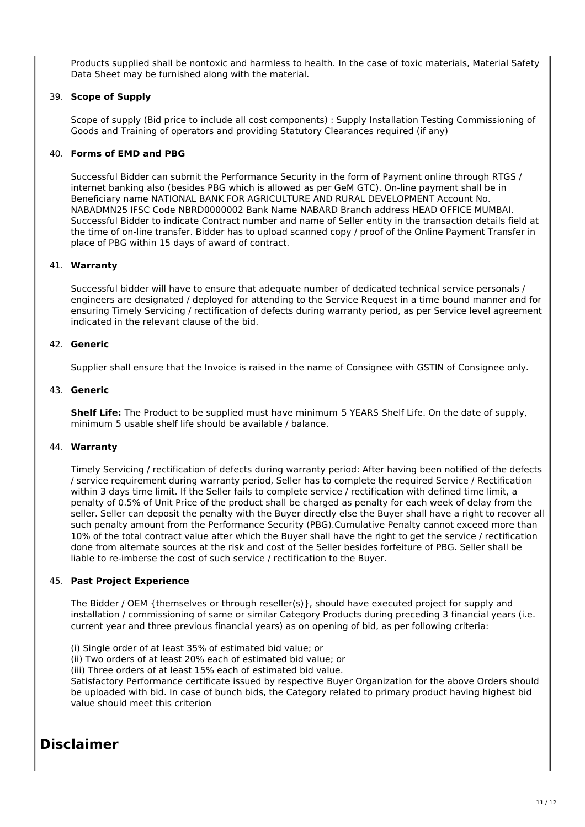Products supplied shall be nontoxic and harmless to health. In the case of toxic materials, Material Safety Data Sheet may be furnished along with the material.

#### 39. **Scope of Supply**

Scope of supply (Bid price to include all cost components) : Supply Installation Testing Commissioning of Goods and Training of operators and providing Statutory Clearances required (if any)

#### 40. **Forms of EMD and PBG**

Successful Bidder can submit the Performance Security in the form of Payment online through RTGS / internet banking also (besides PBG which is allowed as per GeM GTC). On-line payment shall be in Beneficiary name NATIONAL BANK FOR AGRICULTURE AND RURAL DEVELOPMENT Account No. NABADMN25 IFSC Code NBRD0000002 Bank Name NABARD Branch address HEAD OFFICE MUMBAI. Successful Bidder to indicate Contract number and name of Seller entity in the transaction details field at the time of on-line transfer. Bidder has to upload scanned copy / proof of the Online Payment Transfer in place of PBG within 15 days of award of contract.

#### 41. **Warranty**

Successful bidder will have to ensure that adequate number of dedicated technical service personals / engineers are designated / deployed for attending to the Service Request in a time bound manner and for ensuring Timely Servicing / rectification of defects during warranty period, as per Service level agreement indicated in the relevant clause of the bid.

#### 42. **Generic**

Supplier shall ensure that the Invoice is raised in the name of Consignee with GSTIN of Consignee only.

#### 43. **Generic**

**Shelf Life:** The Product to be supplied must have minimum 5 YEARS Shelf Life. On the date of supply, minimum 5 usable shelf life should be available / balance.

#### 44. **Warranty**

Timely Servicing / rectification of defects during warranty period: After having been notified of the defects / service requirement during warranty period, Seller has to complete the required Service / Rectification within 3 days time limit. If the Seller fails to complete service / rectification with defined time limit, a penalty of 0.5% of Unit Price of the product shall be charged as penalty for each week of delay from the seller. Seller can deposit the penalty with the Buyer directly else the Buyer shall have a right to recover all such penalty amount from the Performance Security (PBG).Cumulative Penalty cannot exceed more than 10% of the total contract value after which the Buyer shall have the right to get the service / rectification done from alternate sources at the risk and cost of the Seller besides forfeiture of PBG. Seller shall be liable to re-imberse the cost of such service / rectification to the Buyer.

#### 45. **Past Project Experience**

The Bidder / OEM {themselves or through reseller(s)}, should have executed project for supply and installation / commissioning of same or similar Category Products during preceding 3 financial years (i.e. current year and three previous financial years) as on opening of bid, as per following criteria:

(i) Single order of at least 35% of estimated bid value; or

(ii) Two orders of at least 20% each of estimated bid value; or

(iii) Three orders of at least 15% each of estimated bid value.

Satisfactory Performance certificate issued by respective Buyer Organization for the above Orders should be uploaded with bid. In case of bunch bids, the Category related to primary product having highest bid value should meet this criterion

# **Disclaimer**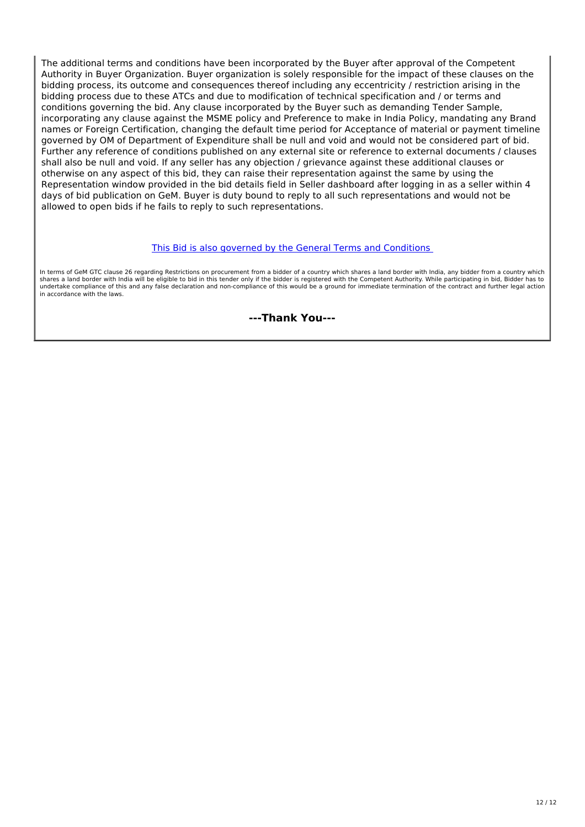The additional terms and conditions have been incorporated by the Buyer after approval of the Competent Authority in Buyer Organization. Buyer organization is solely responsible for the impact of these clauses on the bidding process, its outcome and consequences thereof including any eccentricity / restriction arising in the bidding process due to these ATCs and due to modification of technical specification and / or terms and conditions governing the bid. Any clause incorporated by the Buyer such as demanding Tender Sample, incorporating any clause against the MSME policy and Preference to make in India Policy, mandating any Brand names or Foreign Certification, changing the default time period for Acceptance of material or payment timeline governed by OM of Department of Expenditure shall be null and void and would not be considered part of bid. Further any reference of conditions published on any external site or reference to external documents / clauses shall also be null and void. If any seller has any objection / grievance against these additional clauses or otherwise on any aspect of this bid, they can raise their representation against the same by using the Representation window provided in the bid details field in Seller dashboard after logging in as a seller within 4 days of bid publication on GeM. Buyer is duty bound to reply to all such representations and would not be allowed to open bids if he fails to reply to such representations.

#### This Bid is also governed by the General Terms and Conditions

In terms of GeM GTC clause 26 regarding Restrictions on procurement from a bidder of a country which shares a land border with India, any bidder from a country which shares a land border with India will be eligible to bid in this tender only if the bidder is registered with the Competent Authority. While participating in bid, Bidder has to undertake compliance of this and any false declaration and non-compliance of this would be a ground for immediate termination of the contract and further legal action in accordance with the laws.

**---Thank You---**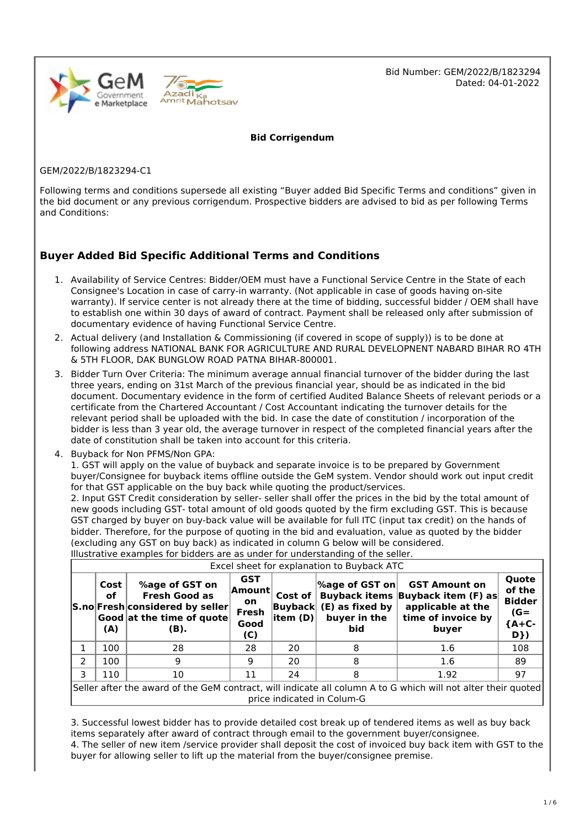

Bid Number: GEM/2022/B/1823294 Dated: 04-01-2022

**Bid Corrigendum**

GEM/2022/B/1823294-C1

Following terms and conditions supersede all existing "Buyer added Bid Specific Terms and conditions" given in the bid document or any previous corrigendum. Prospective bidders are advised to bid as per following Terms and Conditions:

# **Buyer Added Bid Specific Additional Terms and Conditions**

- 1. Availability of Service Centres: Bidder/OEM must have a Functional Service Centre in the State of each Consignee's Location in case of carry-in warranty. (Not applicable in case of goods having on-site warranty). If service center is not already there at the time of bidding, successful bidder / OEM shall have to establish one within 30 days of award of contract. Payment shall be released only after submission of documentary evidence of having Functional Service Centre.
- 2. Actual delivery (and Installation & Commissioning (if covered in scope of supply)) is to be done at following address NATIONAL BANK FOR AGRICULTURE AND RURAL DEVELOPNENT NABARD BIHAR RO 4TH & 5TH FLOOR, DAK BUNGLOW ROAD PATNA BIHAR-800001.
- 3. Bidder Turn Over Criteria: The minimum average annual financial turnover of the bidder during the last three years, ending on 31st March of the previous financial year, should be as indicated in the bid document. Documentary evidence in the form of certified Audited Balance Sheets of relevant periods or a certificate from the Chartered Accountant / Cost Accountant indicating the turnover details for the relevant period shall be uploaded with the bid. In case the date of constitution / incorporation of the bidder is less than 3 year old, the average turnover in respect of the completed financial years after the date of constitution shall be taken into account for this criteria.
- 4. Buyback for Non PFMS/Non GPA:

1. GST will apply on the value of buyback and separate invoice is to be prepared by Government buyer/Consignee for buyback items offline outside the GeM system. Vendor should work out input credit for that GST applicable on the buy back while quoting the product/services.

2. Input GST Credit consideration by seller- seller shall offer the prices in the bid by the total amount of new goods including GST- total amount of old goods quoted by the firm excluding GST. This is because GST charged by buyer on buy-back value will be available for full ITC (input tax credit) on the hands of bidder. Therefore, for the purpose of quoting in the bid and evaluation, value as quoted by the bidder (excluding any GST on buy back) as indicated in column G below will be considered.

| Excel sheet for explanation to Buyback ATC                                                                                                  |                   |                                                                                                                            |                                                             |                              |                                                                           |                                                                                                               |                                                              |  |  |
|---------------------------------------------------------------------------------------------------------------------------------------------|-------------------|----------------------------------------------------------------------------------------------------------------------------|-------------------------------------------------------------|------------------------------|---------------------------------------------------------------------------|---------------------------------------------------------------------------------------------------------------|--------------------------------------------------------------|--|--|
|                                                                                                                                             | Cost<br>οf<br>(A) | %age of GST on<br><b>Fresh Good as</b><br>S.no Fresh considered by seller<br>$ $ Good $ $ at the time of quote $ $<br>(B). | <b>GST</b><br> Amount <br><b>on</b><br>Fresh<br>Good<br>(C) | Cost of $\vert$<br>litem (D) | $ \%$ age of GST on $ $<br>Buyback (E) as fixed by<br>buyer in the<br>bid | <b>GST Amount on</b><br>Buyback items Buyback item (F) as<br>applicable at the<br>time of invoice by<br>buyer | Quote<br>of the<br><b>Bidder</b><br>$(G =$<br>${A+C-$<br>D}) |  |  |
|                                                                                                                                             | 100               | 28                                                                                                                         | 28                                                          | 20                           | 8                                                                         | 1.6                                                                                                           | 108                                                          |  |  |
| 2                                                                                                                                           | 100               | 9                                                                                                                          | 9                                                           | 20                           | 8                                                                         | 1.6                                                                                                           | 89                                                           |  |  |
| 3.                                                                                                                                          | 110               | 10                                                                                                                         | 11                                                          | 24                           |                                                                           | 1.92                                                                                                          | 97                                                           |  |  |
| Seller after the award of the GeM contract, will indicate all column A to G which will not alter their quoted<br>price indicated in Colum-G |                   |                                                                                                                            |                                                             |                              |                                                                           |                                                                                                               |                                                              |  |  |

Illustrative examples for bidders are as under for understanding of the seller.

3. Successful lowest bidder has to provide detailed cost break up of tendered items as well as buy back items separately after award of contract through email to the government buyer/consignee. 4. The seller of new item /service provider shall deposit the cost of invoiced buy back item with GST to the

buyer for allowing seller to lift up the material from the buyer/consignee premise.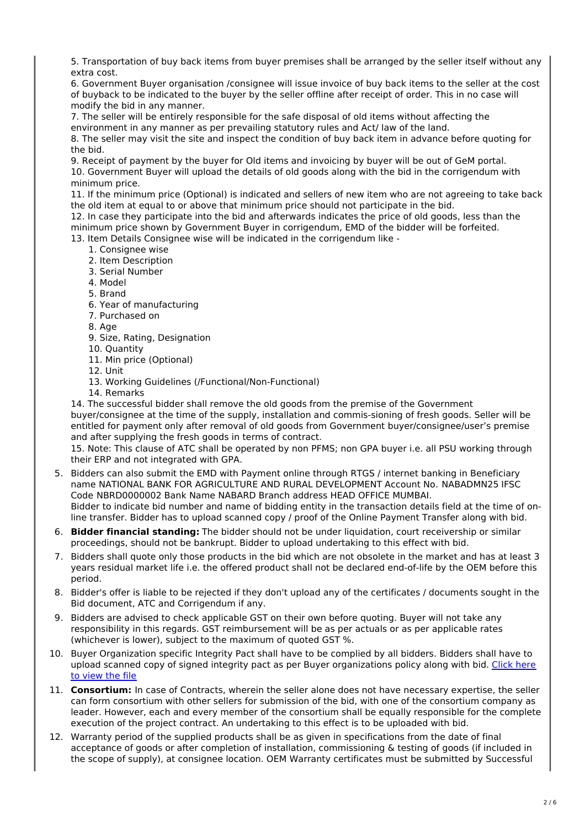5. Transportation of buy back items from buyer premises shall be arranged by the seller itself without any extra cost.

6. Government Buyer organisation /consignee will issue invoice of buy back items to the seller at the cost of buyback to be indicated to the buyer by the seller offline after receipt of order. This in no case will modify the bid in any manner.

7. The seller will be entirely responsible for the safe disposal of old items without affecting the environment in any manner as per prevailing statutory rules and Act/ law of the land.

8. The seller may visit the site and inspect the condition of buy back item in advance before quoting for the bid.

9. Receipt of payment by the buyer for Old items and invoicing by buyer will be out of GeM portal. 10. Government Buyer will upload the details of old goods along with the bid in the corrigendum with minimum price.

11. If the minimum price (Optional) is indicated and sellers of new item who are not agreeing to take back the old item at equal to or above that minimum price should not participate in the bid.

12. In case they participate into the bid and afterwards indicates the price of old goods, less than the minimum price shown by Government Buyer in corrigendum, EMD of the bidder will be forfeited.

13. Item Details Consignee wise will be indicated in the corrigendum like -

- 1. Consignee wise
- 2. Item Description
- 3. Serial Number
- 4. Model
- 5. Brand
- 6. Year of manufacturing
- 7. Purchased on
- 8. Age
- 9. Size, Rating, Designation
- 10. Quantity
- 11. Min price (Optional)
- 12. Unit
- 13. Working Guidelines (/Functional/Non-Functional)
- 14. Remarks

14. The successful bidder shall remove the old goods from the premise of the Government buyer/consignee at the time of the supply, installation and commis-sioning of fresh goods. Seller will be entitled for payment only after removal of old goods from Government buyer/consignee/user's premise and after supplying the fresh goods in terms of contract.

15. Note: This clause of ATC shall be operated by non PFMS; non GPA buyer i.e. all PSU working through their ERP and not integrated with GPA.

- 5. Bidders can also submit the EMD with Payment online through RTGS / internet banking in Beneficiary name NATIONAL BANK FOR AGRICULTURE AND RURAL DEVELOPMENT Account No. NABADMN25 IFSC Code NBRD0000002 Bank Name NABARD Branch address HEAD OFFICE MUMBAI. Bidder to indicate bid number and name of bidding entity in the transaction details field at the time of online transfer. Bidder has to upload scanned copy / proof of the Online Payment Transfer along with bid.
- 6. **Bidder financial standing:** The bidder should not be under liquidation, court receivership or similar proceedings, should not be bankrupt. Bidder to upload undertaking to this effect with bid.
- 7. Bidders shall quote only those products in the bid which are not obsolete in the market and has at least 3 years residual market life i.e. the offered product shall not be declared end-of-life by the OEM before this period.
- 8. Bidder's offer is liable to be rejected if they don't upload any of the certificates / documents sought in the Bid document, ATC and Corrigendum if any.
- 9. Bidders are advised to check applicable GST on their own before quoting. Buyer will not take any responsibility in this regards. GST reimbursement will be as per actuals or as per applicable rates (whichever is lower), subject to the maximum of quoted GST %.
- 10. Buyer Organization specific Integrity Pact shall have to be complied by all bidders. Bidders shall have to upload scanned copy of signed integrity pact as per Buyer organizations policy along with bid. Click here to view the file
- 11. **Consortium:** In case of Contracts, wherein the seller alone does not have necessary expertise, the seller can form consortium with other sellers for submission of the bid, with one of the consortium company as leader. However, each and every member of the consortium shall be equally responsible for the complete execution of the project contract. An undertaking to this effect is to be uploaded with bid.
- 12. Warranty period of the supplied products shall be as given in specifications from the date of final acceptance of goods or after completion of installation, commissioning & testing of goods (if included in the scope of supply), at consignee location. OEM Warranty certificates must be submitted by Successful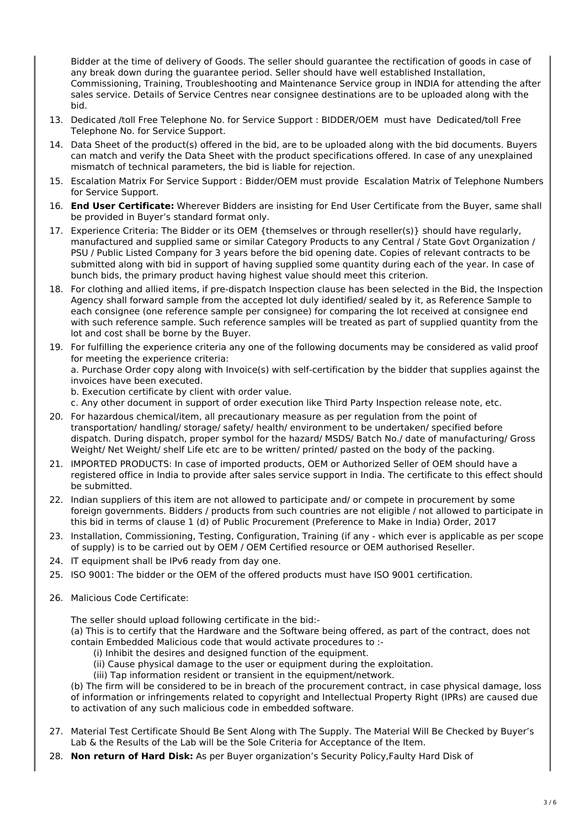Bidder at the time of delivery of Goods. The seller should guarantee the rectification of goods in case of any break down during the guarantee period. Seller should have well established Installation, Commissioning, Training, Troubleshooting and Maintenance Service group in INDIA for attending the after sales service. Details of Service Centres near consignee destinations are to be uploaded along with the bid.

- 13. Dedicated /toll Free Telephone No. for Service Support : BIDDER/OEM must have Dedicated/toll Free Telephone No. for Service Support.
- 14. Data Sheet of the product(s) offered in the bid, are to be uploaded along with the bid documents. Buyers can match and verify the Data Sheet with the product specifications offered. In case of any unexplained mismatch of technical parameters, the bid is liable for rejection.
- 15. Escalation Matrix For Service Support : Bidder/OEM must provide Escalation Matrix of Telephone Numbers for Service Support.
- 16. **End User Certificate:** Wherever Bidders are insisting for End User Certificate from the Buyer, same shall be provided in Buyer's standard format only.
- 17. Experience Criteria: The Bidder or its OEM {themselves or through reseller(s)} should have regularly, manufactured and supplied same or similar Category Products to any Central / State Govt Organization / PSU / Public Listed Company for 3 years before the bid opening date. Copies of relevant contracts to be submitted along with bid in support of having supplied some quantity during each of the year. In case of bunch bids, the primary product having highest value should meet this criterion.
- 18. For clothing and allied items, if pre-dispatch Inspection clause has been selected in the Bid, the Inspection Agency shall forward sample from the accepted lot duly identified/ sealed by it, as Reference Sample to each consignee (one reference sample per consignee) for comparing the lot received at consignee end with such reference sample. Such reference samples will be treated as part of supplied quantity from the lot and cost shall be borne by the Buyer.
- 19. For fulfilling the experience criteria any one of the following documents may be considered as valid proof for meeting the experience criteria:

a. Purchase Order copy along with Invoice(s) with self-certification by the bidder that supplies against the invoices have been executed.

b. Execution certificate by client with order value.

c. Any other document in support of order execution like Third Party Inspection release note, etc.

- 20. For hazardous chemical/item, all precautionary measure as per regulation from the point of transportation/ handling/ storage/ safety/ health/ environment to be undertaken/ specified before dispatch. During dispatch, proper symbol for the hazard/ MSDS/ Batch No./ date of manufacturing/ Gross Weight/ Net Weight/ shelf Life etc are to be written/ printed/ pasted on the body of the packing.
- 21. IMPORTED PRODUCTS: In case of imported products, OEM or Authorized Seller of OEM should have a registered office in India to provide after sales service support in India. The certificate to this effect should be submitted.
- 22. Indian suppliers of this item are not allowed to participate and/ or compete in procurement by some foreign governments. Bidders / products from such countries are not eligible / not allowed to participate in this bid in terms of clause 1 (d) of Public Procurement (Preference to Make in India) Order, 2017
- 23. Installation, Commissioning, Testing, Configuration, Training (if any which ever is applicable as per scope of supply) is to be carried out by OEM / OEM Certified resource or OEM authorised Reseller.
- 24. IT equipment shall be IPv6 ready from day one.
- 25. ISO 9001: The bidder or the OEM of the offered products must have ISO 9001 certification.
- 26. Malicious Code Certificate:

The seller should upload following certificate in the bid:-

(a) This is to certify that the Hardware and the Software being offered, as part of the contract, does not contain Embedded Malicious code that would activate procedures to :-

- (i) Inhibit the desires and designed function of the equipment.
- (ii) Cause physical damage to the user or equipment during the exploitation.

(iii) Tap information resident or transient in the equipment/network.

(b) The firm will be considered to be in breach of the procurement contract, in case physical damage, loss of information or infringements related to copyright and Intellectual Property Right (IPRs) are caused due to activation of any such malicious code in embedded software.

- 27. Material Test Certificate Should Be Sent Along with The Supply. The Material Will Be Checked by Buyer's Lab & the Results of the Lab will be the Sole Criteria for Acceptance of the Item.
- 28. **Non return of Hard Disk:** As per Buyer organization's Security Policy,Faulty Hard Disk of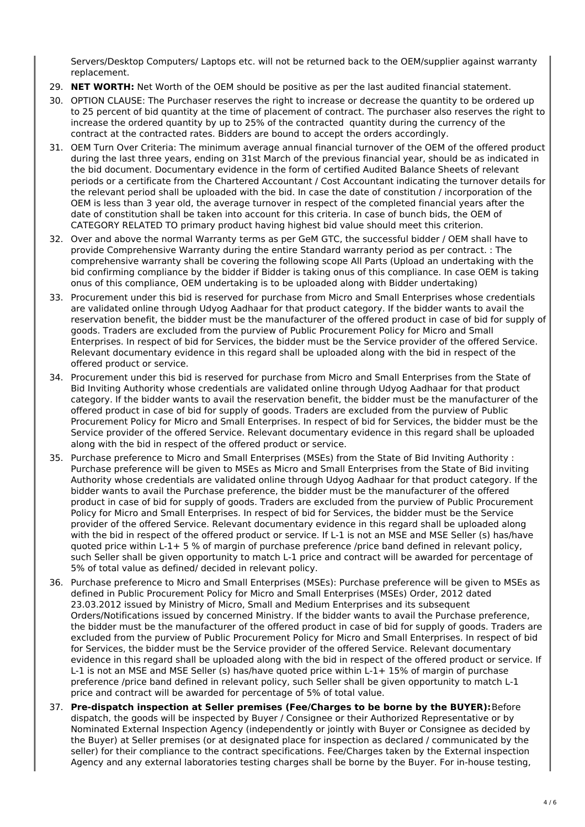Servers/Desktop Computers/ Laptops etc. will not be returned back to the OEM/supplier against warranty replacement.

- 29. **NET WORTH:** Net Worth of the OEM should be positive as per the last audited financial statement.
- 30. OPTION CLAUSE: The Purchaser reserves the right to increase or decrease the quantity to be ordered up to 25 percent of bid quantity at the time of placement of contract. The purchaser also reserves the right to increase the ordered quantity by up to 25% of the contracted quantity during the currency of the contract at the contracted rates. Bidders are bound to accept the orders accordingly.
- 31. OEM Turn Over Criteria: The minimum average annual financial turnover of the OEM of the offered product during the last three years, ending on 31st March of the previous financial year, should be as indicated in the bid document. Documentary evidence in the form of certified Audited Balance Sheets of relevant periods or a certificate from the Chartered Accountant / Cost Accountant indicating the turnover details for the relevant period shall be uploaded with the bid. In case the date of constitution / incorporation of the OEM is less than 3 year old, the average turnover in respect of the completed financial years after the date of constitution shall be taken into account for this criteria. In case of bunch bids, the OEM of CATEGORY RELATED TO primary product having highest bid value should meet this criterion.
- 32. Over and above the normal Warranty terms as per GeM GTC, the successful bidder / OEM shall have to provide Comprehensive Warranty during the entire Standard warranty period as per contract. : The comprehensive warranty shall be covering the following scope All Parts (Upload an undertaking with the bid confirming compliance by the bidder if Bidder is taking onus of this compliance. In case OEM is taking onus of this compliance, OEM undertaking is to be uploaded along with Bidder undertaking)
- 33. Procurement under this bid is reserved for purchase from Micro and Small Enterprises whose credentials are validated online through Udyog Aadhaar for that product category. If the bidder wants to avail the reservation benefit, the bidder must be the manufacturer of the offered product in case of bid for supply of goods. Traders are excluded from the purview of Public Procurement Policy for Micro and Small Enterprises. In respect of bid for Services, the bidder must be the Service provider of the offered Service. Relevant documentary evidence in this regard shall be uploaded along with the bid in respect of the offered product or service.
- 34. Procurement under this bid is reserved for purchase from Micro and Small Enterprises from the State of Bid Inviting Authority whose credentials are validated online through Udyog Aadhaar for that product category. If the bidder wants to avail the reservation benefit, the bidder must be the manufacturer of the offered product in case of bid for supply of goods. Traders are excluded from the purview of Public Procurement Policy for Micro and Small Enterprises. In respect of bid for Services, the bidder must be the Service provider of the offered Service. Relevant documentary evidence in this regard shall be uploaded along with the bid in respect of the offered product or service.
- 35. Purchase preference to Micro and Small Enterprises (MSEs) from the State of Bid Inviting Authority : Purchase preference will be given to MSEs as Micro and Small Enterprises from the State of Bid inviting Authority whose credentials are validated online through Udyog Aadhaar for that product category. If the bidder wants to avail the Purchase preference, the bidder must be the manufacturer of the offered product in case of bid for supply of goods. Traders are excluded from the purview of Public Procurement Policy for Micro and Small Enterprises. In respect of bid for Services, the bidder must be the Service provider of the offered Service. Relevant documentary evidence in this regard shall be uploaded along with the bid in respect of the offered product or service. If L-1 is not an MSE and MSE Seller (s) has/have quoted price within L-1+ 5 % of margin of purchase preference /price band defined in relevant policy, such Seller shall be given opportunity to match L-1 price and contract will be awarded for percentage of 5% of total value as defined/ decided in relevant policy.
- 36. Purchase preference to Micro and Small Enterprises (MSEs): Purchase preference will be given to MSEs as defined in Public Procurement Policy for Micro and Small Enterprises (MSEs) Order, 2012 dated 23.03.2012 issued by Ministry of Micro, Small and Medium Enterprises and its subsequent Orders/Notifications issued by concerned Ministry. If the bidder wants to avail the Purchase preference, the bidder must be the manufacturer of the offered product in case of bid for supply of goods. Traders are excluded from the purview of Public Procurement Policy for Micro and Small Enterprises. In respect of bid for Services, the bidder must be the Service provider of the offered Service. Relevant documentary evidence in this regard shall be uploaded along with the bid in respect of the offered product or service. If L-1 is not an MSE and MSE Seller (s) has/have quoted price within L-1+ 15% of margin of purchase preference /price band defined in relevant policy, such Seller shall be given opportunity to match L-1 price and contract will be awarded for percentage of 5% of total value.
- 37. **Pre-dispatch inspection at Seller premises (Fee/Charges to be borne by the BUYER):**Before dispatch, the goods will be inspected by Buyer / Consignee or their Authorized Representative or by Nominated External Inspection Agency (independently or jointly with Buyer or Consignee as decided by the Buyer) at Seller premises (or at designated place for inspection as declared / communicated by the seller) for their compliance to the contract specifications. Fee/Charges taken by the External inspection Agency and any external laboratories testing charges shall be borne by the Buyer. For in-house testing,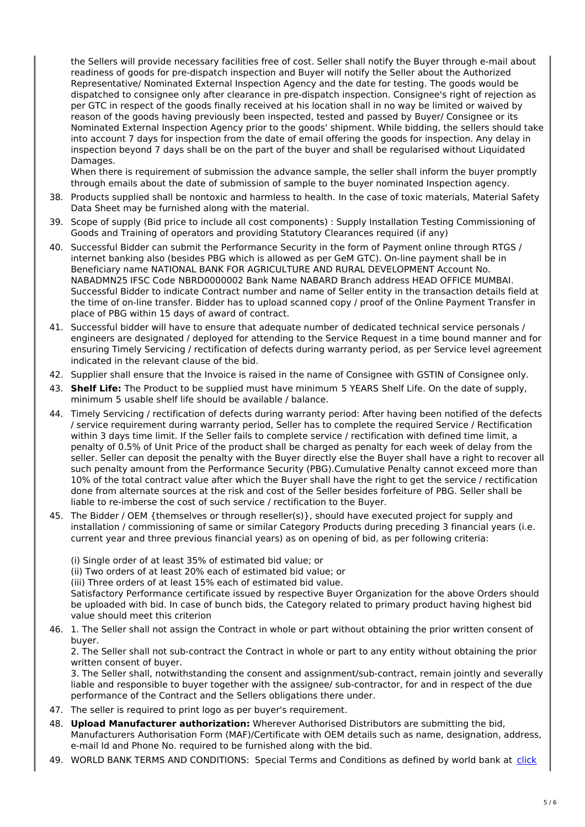the Sellers will provide necessary facilities free of cost. Seller shall notify the Buyer through e-mail about readiness of goods for pre-dispatch inspection and Buyer will notify the Seller about the Authorized Representative/ Nominated External Inspection Agency and the date for testing. The goods would be dispatched to consignee only after clearance in pre-dispatch inspection. Consignee's right of rejection as per GTC in respect of the goods finally received at his location shall in no way be limited or waived by reason of the goods having previously been inspected, tested and passed by Buyer/ Consignee or its Nominated External Inspection Agency prior to the goods' shipment. While bidding, the sellers should take into account 7 days for inspection from the date of email offering the goods for inspection. Any delay in inspection beyond 7 days shall be on the part of the buyer and shall be regularised without Liquidated Damages.

When there is requirement of submission the advance sample, the seller shall inform the buyer promptly through emails about the date of submission of sample to the buyer nominated Inspection agency.

- 38. Products supplied shall be nontoxic and harmless to health. In the case of toxic materials, Material Safety Data Sheet may be furnished along with the material.
- 39. Scope of supply (Bid price to include all cost components) : Supply Installation Testing Commissioning of Goods and Training of operators and providing Statutory Clearances required (if any)
- 40. Successful Bidder can submit the Performance Security in the form of Payment online through RTGS / internet banking also (besides PBG which is allowed as per GeM GTC). On-line payment shall be in Beneficiary name NATIONAL BANK FOR AGRICULTURE AND RURAL DEVELOPMENT Account No. NABADMN25 IFSC Code NBRD0000002 Bank Name NABARD Branch address HEAD OFFICE MUMBAI. Successful Bidder to indicate Contract number and name of Seller entity in the transaction details field at the time of on-line transfer. Bidder has to upload scanned copy / proof of the Online Payment Transfer in place of PBG within 15 days of award of contract.
- 41. Successful bidder will have to ensure that adequate number of dedicated technical service personals / engineers are designated / deployed for attending to the Service Request in a time bound manner and for ensuring Timely Servicing / rectification of defects during warranty period, as per Service level agreement indicated in the relevant clause of the bid.
- 42. Supplier shall ensure that the Invoice is raised in the name of Consignee with GSTIN of Consignee only.
- 43. **Shelf Life:** The Product to be supplied must have minimum 5 YEARS Shelf Life. On the date of supply, minimum 5 usable shelf life should be available / balance.
- 44. Timely Servicing / rectification of defects during warranty period: After having been notified of the defects / service requirement during warranty period, Seller has to complete the required Service / Rectification within 3 days time limit. If the Seller fails to complete service / rectification with defined time limit, a penalty of 0.5% of Unit Price of the product shall be charged as penalty for each week of delay from the seller. Seller can deposit the penalty with the Buyer directly else the Buyer shall have a right to recover all such penalty amount from the Performance Security (PBG).Cumulative Penalty cannot exceed more than 10% of the total contract value after which the Buyer shall have the right to get the service / rectification done from alternate sources at the risk and cost of the Seller besides forfeiture of PBG. Seller shall be liable to re-imberse the cost of such service / rectification to the Buyer.
- 45. The Bidder / OEM {themselves or through reseller(s)}, should have executed project for supply and installation / commissioning of same or similar Category Products during preceding 3 financial years (i.e. current year and three previous financial years) as on opening of bid, as per following criteria:

(i) Single order of at least 35% of estimated bid value; or

(ii) Two orders of at least 20% each of estimated bid value; or

(iii) Three orders of at least 15% each of estimated bid value.

Satisfactory Performance certificate issued by respective Buyer Organization for the above Orders should be uploaded with bid. In case of bunch bids, the Category related to primary product having highest bid value should meet this criterion

46. 1. The Seller shall not assign the Contract in whole or part without obtaining the prior written consent of buyer.

2. The Seller shall not sub-contract the Contract in whole or part to any entity without obtaining the prior written consent of buyer.

3. The Seller shall, notwithstanding the consent and assignment/sub-contract, remain jointly and severally liable and responsible to buyer together with the assignee/ sub-contractor, for and in respect of the due performance of the Contract and the Sellers obligations there under.

- 47. The seller is required to print logo as per buyer's requirement.
- 48. **Upload Manufacturer authorization:** Wherever Authorised Distributors are submitting the bid, Manufacturers Authorisation Form (MAF)/Certificate with OEM details such as name, designation, address, e-mail Id and Phone No. required to be furnished along with the bid.
- 49. WORLD BANK TERMS AND CONDITIONS: Special Terms and Conditions as defined by world bank at click